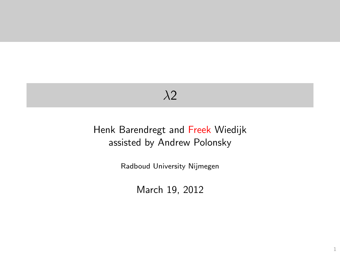## $\lambda$ <sup>2</sup>

#### <span id="page-0-0"></span>Henk Barendregt and Freek Wiedijk assisted by Andrew Polonsky

Radboud University Nijmegen

March 19, 2012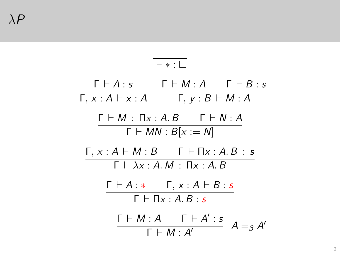<span id="page-1-0"></span>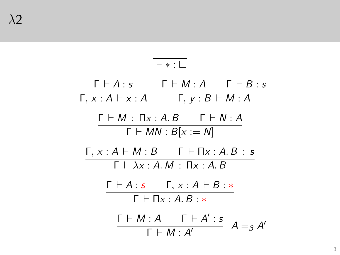<span id="page-2-0"></span>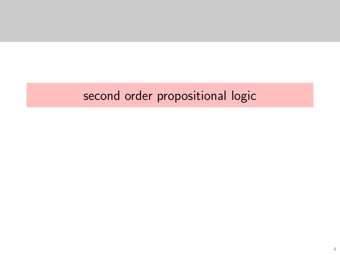# <span id="page-3-0"></span>second order propositional logic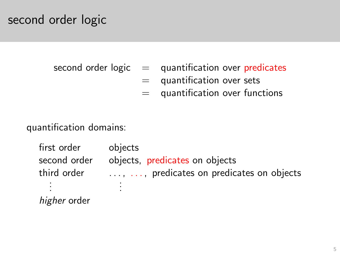#### second order logic

second order  $logic =$  quantification over predicates

- $=$  quantification over sets
- = quantification over functions

quantification domains:

<span id="page-4-0"></span>first order objects second order objects, predicates on objects third order  $\dots$ ,  $\dots$ , predicates on predicates on objects . . . . . . higher order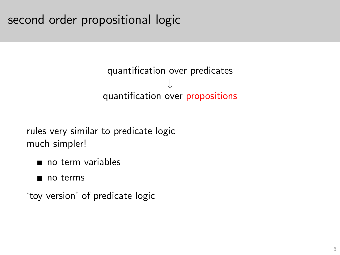## second order propositional logic

#### quantification over predicates ↓ quantification over propositions

rules very similar to predicate logic much simpler!

- no term variables
- no terms
- <span id="page-5-0"></span>'toy version' of predicate logic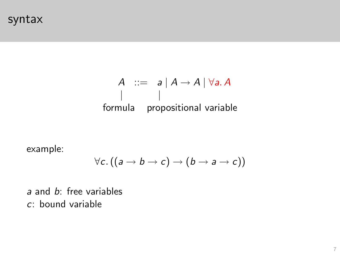syntax

#### $A$  ::= a  $\mid A \rightarrow A \mid \forall a. A$ | | formula propositional variable

example:

$$
\forall c.\, ((a \to b \to c) \to (b \to a \to c))
$$

<span id="page-6-0"></span>a and b: free variables c: bound variable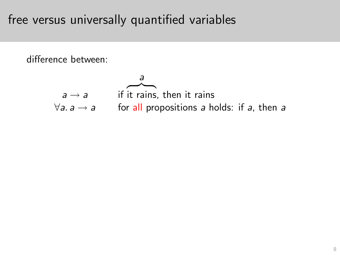## free versus universally quantified variables

<span id="page-7-0"></span>difference between:

$$
a \rightarrow a
$$
 if it rains, then it rains  

$$
\forall a. a \rightarrow a
$$
 for all propositions a holds: if a, then a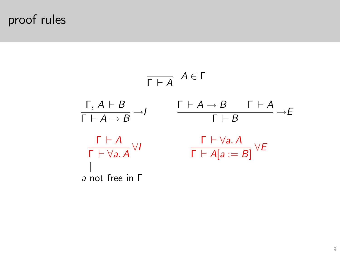# proof rules

<span id="page-8-0"></span>
$$
\begin{array}{ccc}\n\overline{\Gamma \vdash A} & A \in \Gamma \\
\frac{\Gamma, A \vdash B}{\Gamma \vdash A \rightarrow B} \rightarrow I & \frac{\Gamma \vdash A \rightarrow B & \Gamma \vdash A}{\Gamma \vdash B} \rightarrow E \\
\frac{\Gamma \vdash A}{\Gamma \vdash \forall a.A} \forall I & \frac{\Gamma \vdash \forall a.A}{\Gamma \vdash A[a := B]} \forall E \\
\downarrow \\
a \text{ not free in } \Gamma\n\end{array}
$$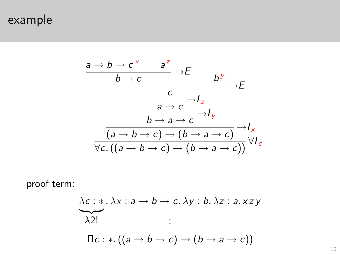example

$$
\frac{a \rightarrow b \rightarrow c^x \qquad a^z \rightarrow E}{b \rightarrow c} \rightarrow E
$$
\n
$$
\frac{c}{a \rightarrow c} \rightarrow I_z
$$
\n
$$
\frac{1}{b \rightarrow a \rightarrow c} \rightarrow I_y
$$
\n
$$
\frac{1}{\sqrt{a \rightarrow b \rightarrow c} \rightarrow (b \rightarrow a \rightarrow c)} \rightarrow I_x
$$
\n
$$
\frac{1}{\sqrt{c} \cdot ((a \rightarrow b \rightarrow c) \rightarrow (b \rightarrow a \rightarrow c))} \vee I_z
$$

<span id="page-9-0"></span>proof term:

$$
\lambda c: *, \lambda x: a \rightarrow b \rightarrow c. \lambda y: b. \lambda z: a. xzy
$$
  
\n
$$
\lambda 2!
$$
  
\n
$$
\Pi c: *, ((a \rightarrow b \rightarrow c) \rightarrow (b \rightarrow a \rightarrow c))
$$

[⇐](#page-0-0)[←](#page-8-0)[10](#page-45-0)[→](#page-10-0)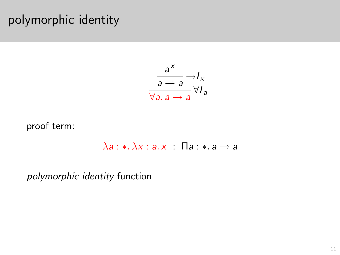## polymorphic identity

$$
\frac{a^x}{a \to a} \to I_x
$$
  

$$
\frac{a}{\forall a. a \to a} \forall I_a
$$

proof term:

$$
\lambda a: \ast, \lambda x: a. x \quad \Pi a: \ast, a \rightarrow a
$$

<span id="page-10-0"></span>polymorphic identity function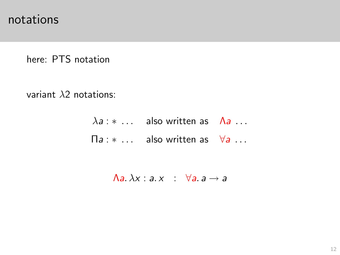notations

here: PTS notation

<span id="page-11-0"></span>variant  $\lambda$ 2 notations:

 $\lambda a : * \ldots$  also written as  $\Lambda a \ldots$  $\Pi a : * \dots$  also written as  $\forall a \dots$ 

 $\bigwedge a \lambda x : a \cdot x : \forall a \cdot a \rightarrow a$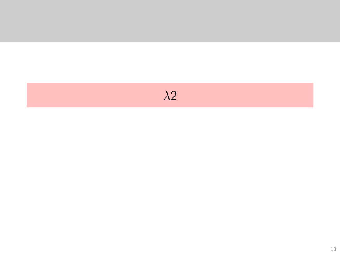<span id="page-12-0"></span>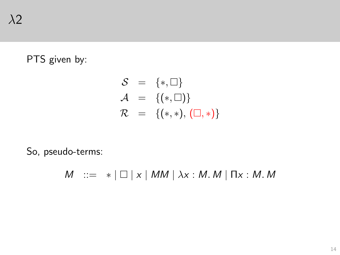#### PTS given by:

$$
S = {*, \square} \nA = {(*, \square)} \nR = {(*, *), (\square, *)}
$$

<span id="page-13-0"></span>So, pseudo-terms:

 $M$  :=  $*$  |  $\Box$  |  $x$  | MM |  $\lambda x$  : M. M |  $\Pi x$  : M. M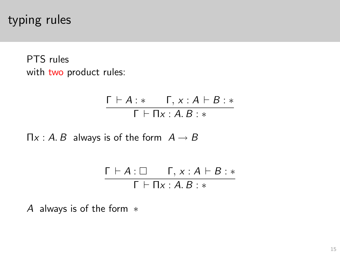typing rules

PTS rules with two product rules:

$$
\frac{\Gamma \vdash A : * \qquad \Gamma, x : A \vdash B : *}{\Gamma \vdash \Pi x : A.B : *}
$$

 $\Pi x : A \cdot B$  always is of the form  $A \rightarrow B$ 

$$
\frac{\Gamma \vdash A : \Box \qquad \Gamma, x : A \vdash B : *}{\Gamma \vdash \Pi x : A. B : *}
$$

<span id="page-14-0"></span>A always is of the form ∗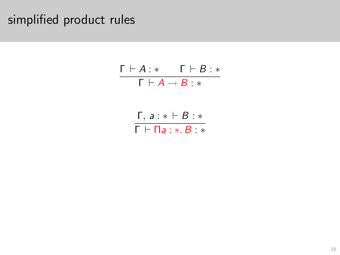# <span id="page-15-0"></span>simplified product rules

| $\Gamma \vdash A : *$                        | $\mathsf{\Gamma}\vdash B : *$ |
|----------------------------------------------|-------------------------------|
| $\Gamma\vdash A\rightarrow B: *$             |                               |
|                                              |                               |
| $\Gamma, a : * \vdash B : *$                 |                               |
| $\Gamma\vdash \Pi$ а : $\ast$ . $B$ : $\ast$ |                               |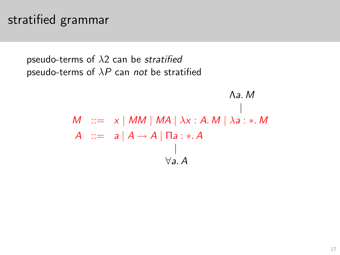### stratified grammar

pseudo-terms of  $\lambda$ 2 can be stratified pseudo-terms of  $\lambda P$  can not be stratified

<span id="page-16-0"></span>
$$
M \quad ::= \quad x \mid MM \mid MA \mid \lambda x : A \cdot M \mid \lambda a : * \cdot M
$$
\n
$$
A \quad ::= \quad a \mid A \rightarrow A \mid \Pi a : * \cdot A
$$
\n
$$
\downarrow
$$
\n
$$
\forall a \cdot A
$$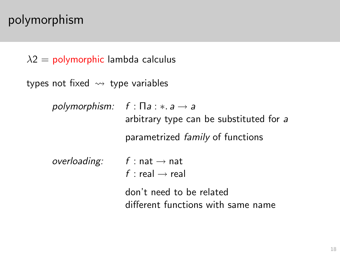## polymorphism

```
\lambda2 = polymorphic lambda calculus
```

```
types not fixed \rightsquigarrow type variables
```
<span id="page-17-0"></span>polymorphism:  $f : \Pi a : * a \rightarrow a$ arbitrary type can be substituted for a parametrized family of functions overloading:  $f : nat \rightarrow nat$ f : real  $\rightarrow$  real

> don't need to be related different functions with same name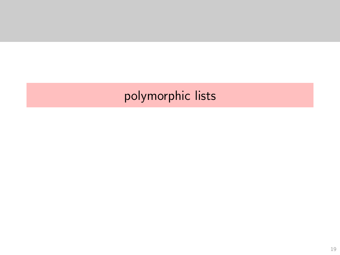# <span id="page-18-0"></span>polymorphic lists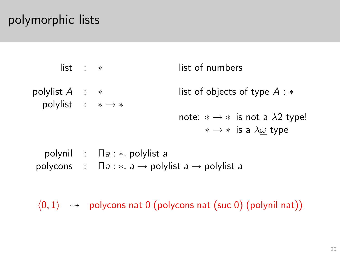## polymorphic lists

| $list : *$                                       |                                                                                                                  | list of numbers                                                                                    |
|--------------------------------------------------|------------------------------------------------------------------------------------------------------------------|----------------------------------------------------------------------------------------------------|
| polylist $A : *$<br>polylist : $* \rightarrow *$ |                                                                                                                  | list of objects of type $A : *$                                                                    |
|                                                  |                                                                                                                  | note: $* \rightarrow *$ is not a $\lambda$ 2 type!<br>$* \rightarrow *$ is a $\lambda \omega$ type |
|                                                  | polynil : $\prod a : *$ polylist a<br>polycons : $\prod a : * a \rightarrow$ polylist $a \rightarrow$ polylist a |                                                                                                    |

<span id="page-19-0"></span> $\langle 0, 1 \rangle \rightarrow$  polycons nat 0 (polycons nat (suc 0) (polynil nat))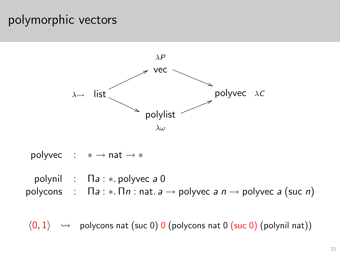#### polymorphic vectors



polyvec :  $* \rightarrow nat \rightarrow *$ polynil :  $\prod a : *$ . polyvec a 0 polycons :  $\prod a : * \prod n : n \in a \rightarrow$  polyvec  $a \cap n \rightarrow$  polyvec  $a$  (suc n)

<span id="page-20-0"></span> $\langle 0,1\rangle \rightarrow$  polycons nat (suc 0) 0 (polycons nat 0 (suc 0) (polynil nat))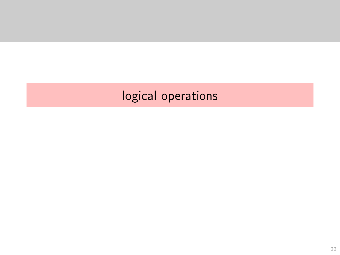# <span id="page-21-0"></span>logical operations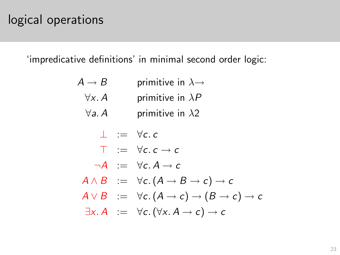### logical operations

<span id="page-22-0"></span>'impredicative definitions' in minimal second order logic:

| $A \to B$      | primitive in $\lambda \rightarrow$                                                     |
|----------------|----------------------------------------------------------------------------------------|
| $\forall x. A$ | primitive in $\lambda P$                                                               |
| $\forall a. A$ | primitive in $\lambda$ 2                                                               |
|                | $\perp$ := $\forall c. c$                                                              |
|                | $\top$ = $\forall c. c \rightarrow c$                                                  |
|                | $\neg A := \forall c. A \rightarrow c$                                                 |
|                | $A \wedge B := \forall c. (A \rightarrow B \rightarrow c) \rightarrow c$               |
|                | $A \vee B := \forall c. (A \rightarrow c) \rightarrow (B \rightarrow c) \rightarrow c$ |
|                | $\exists x. A = \forall c. (\forall x. A \rightarrow c) \rightarrow c$                 |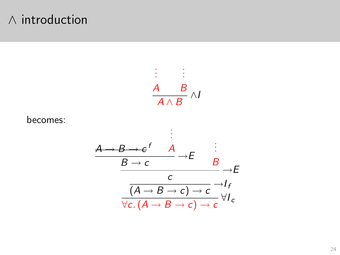#### ∧ introduction

<span id="page-23-0"></span>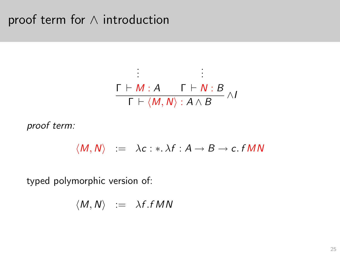#### proof term for ∧ introduction

$$
\begin{array}{c}\n\vdots & \vdots \\
\Gamma \vdash M : A \qquad \Gamma \vdash N : B \\
\hline\n\Gamma \vdash \langle M, N \rangle : A \wedge B \qquad \wedge I\n\end{array}
$$

proof term:

$$
\langle M, N \rangle \quad := \quad \lambda c : * \lambda f : A \to B \to c \text{ . } f \, MN
$$

<span id="page-24-0"></span>typed polymorphic version of:

$$
\langle M, N \rangle \ := \ \lambda f . f M N
$$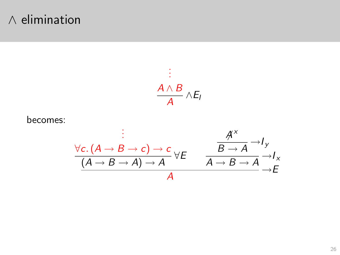#### $\wedge$  elimination

<span id="page-25-0"></span>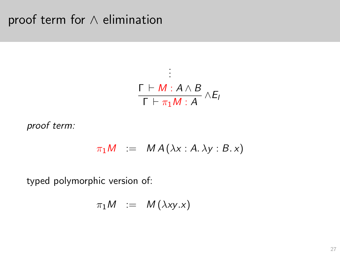### proof term for ∧ elimination

$$
\frac{\Gamma \vdash M : A \land B}{\Gamma \vdash \pi_1 M : A} \land E_I
$$

proof term:

$$
\pi_1 M \ := \ M A(\lambda x : A. \lambda y : B. x)
$$

<span id="page-26-0"></span>typed polymorphic version of:

$$
\pi_1 M \quad := \quad M(\lambda xy.x)
$$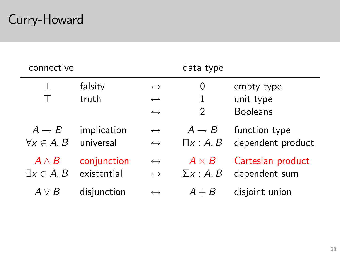# Curry-Howard

<span id="page-27-0"></span>

| connective            |             |                   | data type         |                   |
|-----------------------|-------------|-------------------|-------------------|-------------------|
|                       | falsity     | $\leftrightarrow$ | 0                 | empty type        |
|                       | truth       | $\leftrightarrow$ | 1                 | unit type         |
|                       |             | $\leftrightarrow$ | $\mathfrak{D}$    | <b>Booleans</b>   |
| $A \rightarrow B$     | implication | $\leftrightarrow$ | $A \rightarrow B$ | function type     |
| $\forall x \in A$ . B | universal   | $\leftrightarrow$ | $\Pi x:A.B$       | dependent product |
| $A \wedge B$          | conjunction | $\leftrightarrow$ | $A \times B$      | Cartesian product |
| $\exists x \in A$ . B | existential | $\leftrightarrow$ | $\Sigma x:A.B$    | dependent sum     |
| $A \vee B$            | disjunction | $\leftrightarrow$ | $A + B$           | disjoint union    |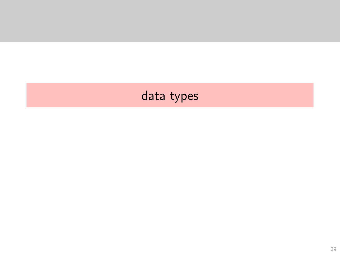# <span id="page-28-0"></span>data types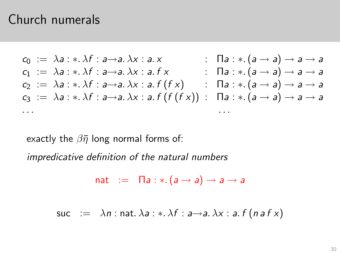#### Church numerals

$$
c_0 := \lambda a : * \lambda f : a \rightarrow a. \lambda x : a. x
$$
\n
$$
c_1 := \lambda a : * \lambda f : a \rightarrow a. \lambda x : a. f x
$$
\n
$$
c_2 := \lambda a : * \lambda f : a \rightarrow a. \lambda x : a. f(x)
$$
\n
$$
c_3 := \lambda a : * \lambda f : a \rightarrow a. \lambda x : a. f(f(x)) : \Pi a : * (a \rightarrow a) \rightarrow a \rightarrow a
$$
\n
$$
c_3 := \lambda a : * \lambda f : a \rightarrow a. \lambda x : a. f(f(f(x)) : \Pi a : * (a \rightarrow a) \rightarrow a \rightarrow a
$$
\n
$$
\dots
$$

exactly the  $\beta \bar{\eta}$  long normal forms of:

impredicative definition of the natural numbers

$$
\mathsf{nat} := \mathsf{\Pi} a : *.(a \rightarrow a) \rightarrow a \rightarrow a
$$

<span id="page-29-0"></span>
$$
\mathsf{suc} := \lambda n : \mathsf{nat}.\,\lambda a : \ast.\,\lambda f : a \rightarrow a.\,\lambda x : a.\,f\,(\,n\,a\,f\,x)
$$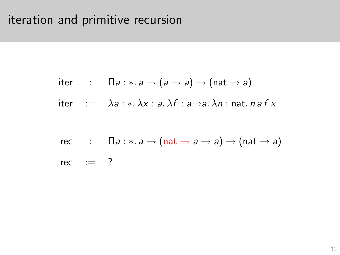# iteration and primitive recursion

$$
iter \t\t \text{a}: \t\t \text{a}: \t\t a \rightarrow (a \rightarrow a) \rightarrow (nat \rightarrow a)
$$

$$
iter := \lambda a : * \lambda x : a \lambda f : a \rightarrow a \lambda n : nat. naf x
$$

<span id="page-30-0"></span>rec: 
$$
\Pi a: \ast \colon a \to (\text{nat} \to a \to a) \to (\text{nat} \to a)
$$

\nrec: = ?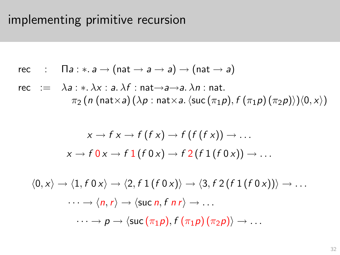## implementing primitive recursion

$$
rec \quad : \quad \Pi a: \ast. a \rightarrow (nat \rightarrow a \rightarrow a) \rightarrow (nat \rightarrow a)
$$

rec := 
$$
\lambda a : * \lambda x : a \cdot \lambda f : \text{nat} \rightarrow a \rightarrow a \cdot \lambda n : \text{nat}.
$$
  
\n $\pi_2 (n \text{ (nat} \times a) (\lambda p : \text{nat} \times a \cdot \langle \text{succ}(\pi_1 p), f(\pi_1 p)(\pi_2 p) \rangle) \langle 0, x \rangle)$ 

$$
x \to f x \to f (f x) \to f (f (f x)) \to \dots
$$
  

$$
x \to f 0 x \to f 1 (f 0 x) \to f 2 (f 1 (f 0 x)) \to \dots
$$

<span id="page-31-0"></span>
$$
\langle 0, x \rangle \to \langle 1, f \ 0 \ x \rangle \to \langle 2, f \ 1 (f \ 0 \ x) \rangle \to \langle 3, f \ 2 (f \ 1 (f \ 0 \ x)) \rangle \to \dots
$$

$$
\cdots \to \langle n, r \rangle \to \langle \text{succ } n, f \ n \ r \rangle \to \dots
$$

$$
\cdots \to p \to \langle \text{succ } (\pi_1 p), f (\pi_1 p) (\pi_2 p) \rangle \to \dots
$$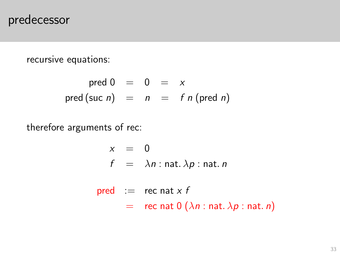#### predecessor

recursive equations:

$$
pred 0 = 0 = x
$$
  
pred (suc *n*) = *n* = *f n* (pred *n*)

<span id="page-32-0"></span>therefore arguments of rec:

$$
x = 0
$$
  

$$
f = \lambda n : \text{nat. } \lambda p : \text{nat. } n
$$

$$
\begin{array}{rcl}\n\text{pred} & := & \text{rec nat} \times f \\
& = & \text{rec nat } 0 \left( \lambda n : \text{nat. } \lambda p : \text{nat. } n \right)\n\end{array}
$$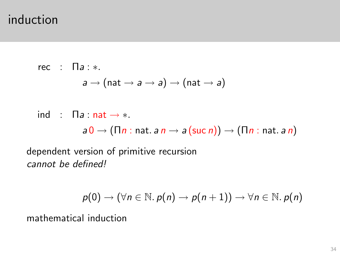#### induction

rec :  $\Pi a : *$ .  $a \rightarrow (nat \rightarrow a \rightarrow a) \rightarrow (nat \rightarrow a)$ 

ind :  $\Box a$  : nat  $\rightarrow *$ .  $a 0 \rightarrow (\Pi n : \text{nat. } a n \rightarrow a (\text{succ } n)) \rightarrow (\Pi n : \text{nat. } a n)$ 

dependent version of primitive recursion cannot be defined!

$$
p(0) \to (\forall n \in \mathbb{N}.\ p(n) \to p(n+1)) \to \forall n \in \mathbb{N}.\ p(n)
$$

<span id="page-33-0"></span>mathematical induction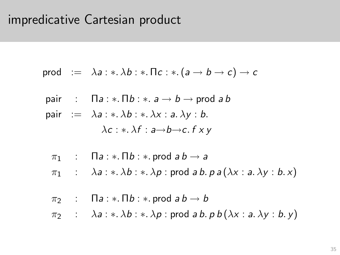#### impredicative Cartesian product

$$
\mathsf{prod} := \lambda a : * \lambda b : * \Pi c : * (a \to b \to c) \to c
$$

- pair :  $\Box a : * \Box b : * \Box a \rightarrow b \rightarrow \Box$
- <span id="page-34-0"></span>pair :=  $\lambda a : * \lambda b : * \lambda x : a \lambda y : b$ .  $\lambda c : * \lambda f : a \rightarrow b \rightarrow c, f \times v$ 
	- $\pi_1$  :  $\Box a : * \Box b : *$  prod  $ab \rightarrow a$
	- $\pi_1$  :  $\lambda a : \lambda b : \lambda b$  : prod a b. p a  $(\lambda x : a, \lambda y : b, x)$
	- $\pi_2$  :  $\Box a : * \Box b : *$  prod  $ab \rightarrow b$
	- $\pi_2$  :  $\lambda a : * \lambda b : * \lambda p$  : prod a b. p b ( $\lambda x : a. \lambda y : b. y$ )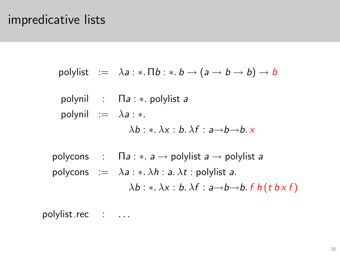#### impredicative lists

\n
$$
\text{polylist} := \lambda a: \ast. \Pi b: \ast. b \to (a \to b \to b) \to b
$$
\n

\n\n
$$
\text{polynil} := \Pi a: \ast. \text{ polylist } a
$$
\n

\n\n
$$
\text{polynil} := \lambda a: \ast.
$$
\n

\n\n
$$
\lambda b: \ast. \lambda x: b. \lambda f: a \to b \to b. \times
$$
\n

\n\n
$$
\text{polycons} := \Pi a: \ast. a \to \text{polylist } a \to \text{polylist } a
$$
\n

\n\n
$$
\text{polycons} := \lambda a: \ast. \lambda h: a. \lambda t: \text{polylist } a.
$$
\n

\n\n
$$
\lambda b: \ast. \lambda x: b. \lambda f: a \to b \to b. f h(t b \times f)
$$
\n

<span id="page-35-0"></span>polylist\_rec : ...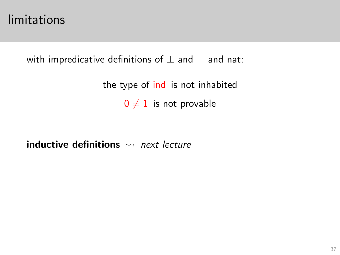#### limitations

with impredicative definitions of  $\perp$  and  $=$  and nat:

the type of ind is not inhabited  $0 \neq 1$  is not provable

<span id="page-36-0"></span>inductive definitions  $\rightsquigarrow$  next lecture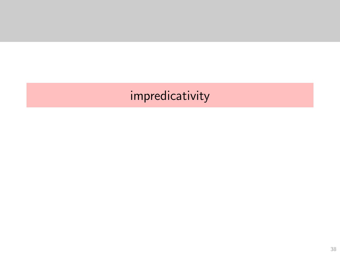# <span id="page-37-0"></span>impredicativity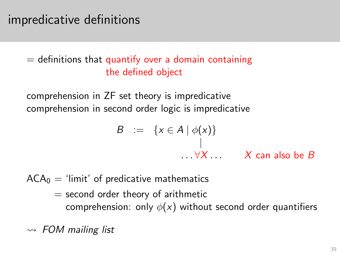## impredicative definitions

#### $=$  definitions that quantify over a domain containing the defined object

comprehension in ZF set theory is impredicative comprehension in second order logic is impredicative

$$
B := \{x \in A \mid \phi(x)\}
$$
  
 
$$
\downarrow
$$
  
 
$$
\dots \forall X \dots
$$
 X can also be B

 $ACA<sub>0</sub>$  = 'limit' of predicative mathematics

 $=$  second order theory of arithmetic comprehension: only  $\phi(x)$  without second order quantifiers

<span id="page-38-0"></span> $\rightarrow$  FOM mailing list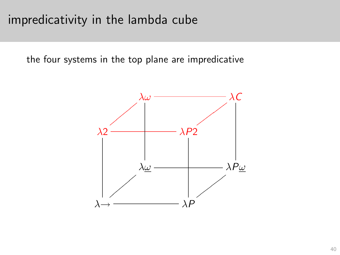## impredicativity in the lambda cube

<span id="page-39-0"></span>the four systems in the top plane are impredicative

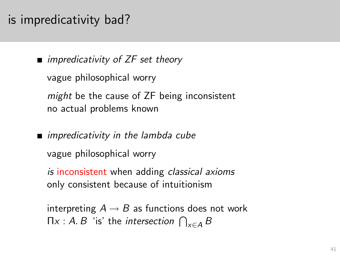## is impredicativity bad?

 $\blacksquare$  impredicativity of ZF set theory vague philosophical worry might be the cause of ZF being inconsistent no actual problems known

**n** impredicativity in the lambda cube vague philosophical worry

is inconsistent when adding *classical axioms* only consistent because of intuitionism

<span id="page-40-0"></span>interpreting  $A \rightarrow B$  as functions does not work  $\Pi x : A. B$  'is' the *intersection*  $\bigcap_{x \in A} B$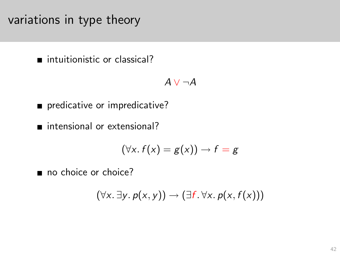variations in type theory

■ intuitionistic or classical?

$$
A \lor \neg A
$$

predicative or impredicative?

■ intensional or extensional?

$$
(\forall x. f(x) = g(x)) \rightarrow f = g
$$

<span id="page-41-0"></span>no choice or choice?

$$
(\forall x. \exists y. p(x,y)) \rightarrow (\exists f. \forall x. p(x,f(x)))
$$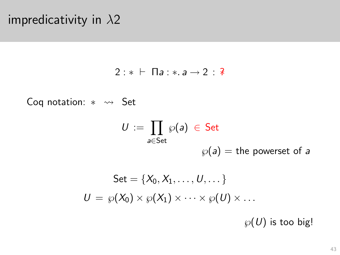#### impredicativity in  $\lambda$ 2

 $2 : * \vdash \Pi a : * a \rightarrow 2 : *$ 

Coq notation: \* ~ Set

$$
U := \prod_{a \in \mathsf{Set}} \wp(a) \in \mathsf{Set}
$$
  

$$
\wp(a) = \text{the powerset of } a
$$

<span id="page-42-0"></span>Set = {
$$
X_0, X_1, ..., U, ...
$$
}  

$$
U = \wp(X_0) \times \wp(X_1) \times \cdots \times \wp(U) \times ...
$$

 $\wp(U)$  is too big!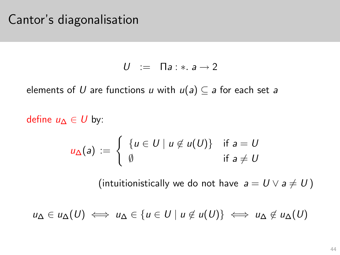#### Cantor's diagonalisation

$$
U := \Pi a : * a \rightarrow 2
$$

elements of U are functions u with  $u(a) \subseteq a$  for each set a

define  $u_Λ ∈ U$  by:

$$
u_{\Delta}(a) := \begin{cases} \{u \in U \mid u \notin u(U)\} & \text{if } a = U \\ \emptyset & \text{if } a \neq U \end{cases}
$$

(intuitionistically we do not have  $a = U \vee a \neq U$ )

<span id="page-43-0"></span> $u_{\Delta} \in u_{\Delta}(U) \iff u_{\Delta} \in \{u \in U \mid u \notin u(U)\} \iff u_{\Delta} \notin u_{\Delta}(U)$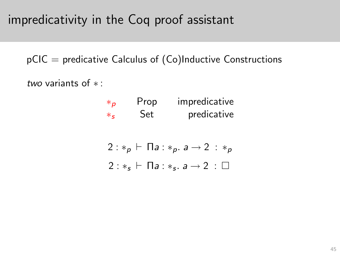## impredicativity in the Coq proof assistant

 $pCIC =$  predicative Calculus of  $(Co)$ Inductive Constructions

<span id="page-44-0"></span>two variants of ∗ :

| $*_{\mathcal{D}}$ | Prop | impredicative |
|-------------------|------|---------------|
| $*_c$             | Set  | predicative   |

|  |  |  | 2 : $*_p$ $\vdash$ Па : $*_p$ . а $\rightarrow$ 2 $: \ast_p$ |  |  |
|--|--|--|--------------------------------------------------------------|--|--|
|  |  |  | $2:*_s \vdash \Pi a: *_s. a \rightarrow 2: \square$          |  |  |